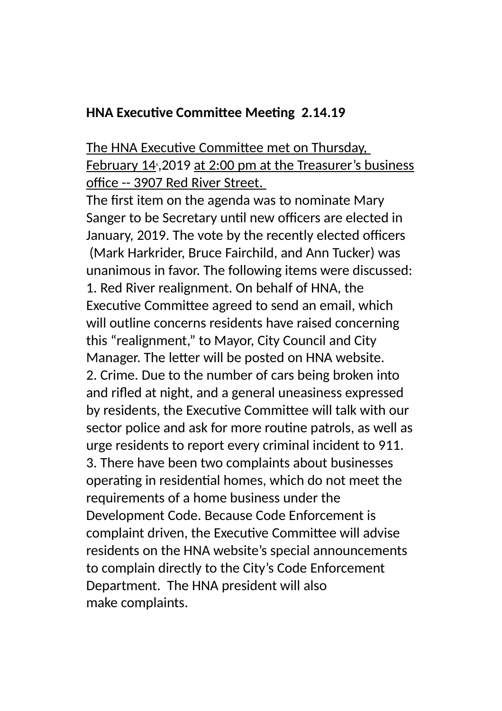## **HNA Executive Committee Meeting 2.14.19**

The HNA Executive Committee met on Thursday, February 14, ,2019 at 2:00 pm at the Treasurer's business office -- 3907 Red River Street.

The first item on the agenda was to nominate Mary Sanger to be Secretary until new officers are elected in January, 2019. The vote by the recently elected officers (Mark Harkrider, Bruce Fairchild, and Ann Tucker) was unanimous in favor. The following items were discussed: 1. Red River realignment. On behalf of HNA, the Executive Committee agreed to send an email, which will outline concerns residents have raised concerning this "realignment," to Mayor, City Council and City Manager. The letter will be posted on HNA website. 2. Crime. Due to the number of cars being broken into and rifled at night, and a general uneasiness expressed by residents, the Executive Committee will talk with our sector police and ask for more routine patrols, as well as urge residents to report every criminal incident to 911. 3. There have been two complaints about businesses operating in residential homes, which do not meet the requirements of a home business under the Development Code. Because Code Enforcement is complaint driven, the Executive Committee will advise residents on the HNA website's special announcements to complain directly to the City's Code Enforcement Department. The HNA president will also make complaints.